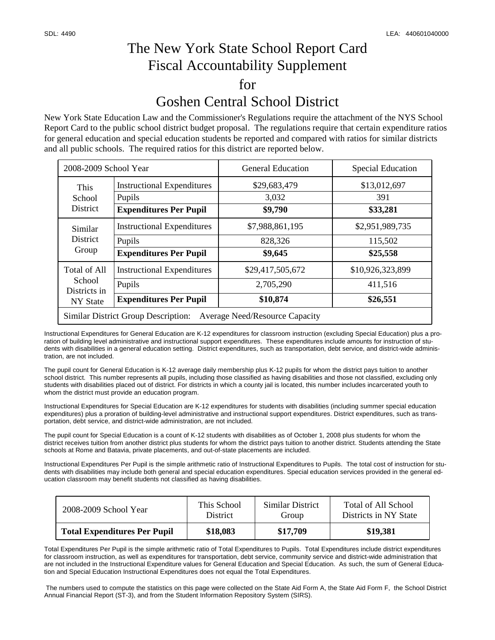## The New York State School Report Card Fiscal Accountability Supplement for Goshen Central School District

New York State Education Law and the Commissioner's Regulations require the attachment of the NYS School Report Card to the public school district budget proposal. The regulations require that certain expenditure ratios for general education and special education students be reported and compared with ratios for similar districts and all public schools. The required ratios for this district are reported below.

| 2008-2009 School Year                                                               |                                                                              | <b>General Education</b>                  | <b>Special Education</b>                |  |  |  |
|-------------------------------------------------------------------------------------|------------------------------------------------------------------------------|-------------------------------------------|-----------------------------------------|--|--|--|
| This<br>School<br><b>District</b>                                                   | <b>Instructional Expenditures</b><br>Pupils<br><b>Expenditures Per Pupil</b> | \$29,683,479<br>3,032<br>\$9,790          | \$13,012,697<br>391<br>\$33,281         |  |  |  |
| Similar<br><b>District</b><br>Group                                                 | <b>Instructional Expenditures</b><br>Pupils<br><b>Expenditures Per Pupil</b> | \$7,988,861,195<br>828,326<br>\$9,645     | \$2,951,989,735<br>115,502<br>\$25,558  |  |  |  |
| <b>Total of All</b><br>School<br>Districts in<br>NY State                           | <b>Instructional Expenditures</b><br>Pupils<br><b>Expenditures Per Pupil</b> | \$29,417,505,672<br>2,705,290<br>\$10,874 | \$10,926,323,899<br>411,516<br>\$26,551 |  |  |  |
| <b>Similar District Group Description:</b><br><b>Average Need/Resource Capacity</b> |                                                                              |                                           |                                         |  |  |  |

Instructional Expenditures for General Education are K-12 expenditures for classroom instruction (excluding Special Education) plus a proration of building level administrative and instructional support expenditures. These expenditures include amounts for instruction of students with disabilities in a general education setting. District expenditures, such as transportation, debt service, and district-wide administration, are not included.

The pupil count for General Education is K-12 average daily membership plus K-12 pupils for whom the district pays tuition to another school district. This number represents all pupils, including those classified as having disabilities and those not classified, excluding only students with disabilities placed out of district. For districts in which a county jail is located, this number includes incarcerated youth to whom the district must provide an education program.

Instructional Expenditures for Special Education are K-12 expenditures for students with disabilities (including summer special education expenditures) plus a proration of building-level administrative and instructional support expenditures. District expenditures, such as transportation, debt service, and district-wide administration, are not included.

The pupil count for Special Education is a count of K-12 students with disabilities as of October 1, 2008 plus students for whom the district receives tuition from another district plus students for whom the district pays tuition to another district. Students attending the State schools at Rome and Batavia, private placements, and out-of-state placements are included.

Instructional Expenditures Per Pupil is the simple arithmetic ratio of Instructional Expenditures to Pupils. The total cost of instruction for students with disabilities may include both general and special education expenditures. Special education services provided in the general education classroom may benefit students not classified as having disabilities.

| 2008-2009 School Year               | This School     | Similar District | Total of All School   |
|-------------------------------------|-----------------|------------------|-----------------------|
|                                     | <b>District</b> | Group            | Districts in NY State |
| <b>Total Expenditures Per Pupil</b> | \$18,083        | \$17.709         | \$19,381              |

Total Expenditures Per Pupil is the simple arithmetic ratio of Total Expenditures to Pupils. Total Expenditures include district expenditures for classroom instruction, as well as expenditures for transportation, debt service, community service and district-wide administration that are not included in the Instructional Expenditure values for General Education and Special Education. As such, the sum of General Education and Special Education Instructional Expenditures does not equal the Total Expenditures.

 The numbers used to compute the statistics on this page were collected on the State Aid Form A, the State Aid Form F, the School District Annual Financial Report (ST-3), and from the Student Information Repository System (SIRS).